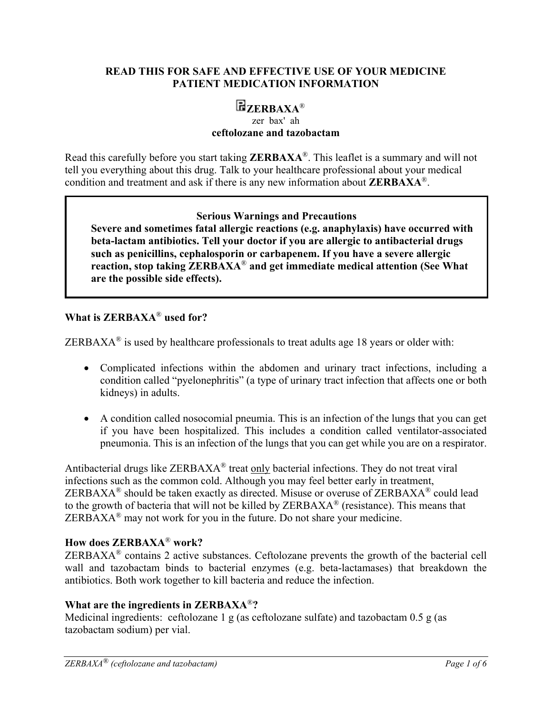#### **READ THIS FOR SAFE AND EFFECTIVE USE OF YOUR MEDICINE PATIENT MEDICATION INFORMATION**

# **ZERBAXA**®

#### zer bax' ah **ceftolozane and tazobactam**

Read this carefully before you start taking **ZERBAXA**®. This leaflet is a summary and will not tell you everything about this drug. Talk to your healthcare professional about your medical condition and treatment and ask if there is any new information about **ZERBAXA**®.

### **Serious Warnings and Precautions**

**Severe and sometimes fatal allergic reactions (e.g. anaphylaxis) have occurred with beta-lactam antibiotics. Tell your doctor if you are allergic to antibacterial drugs such as penicillins, cephalosporin or carbapenem. If you have a severe allergic reaction, stop taking ZERBAXA**® **and get immediate medical attention (See What are the possible side effects).** 

### **What is ZERBAXA**® **used for?**

ZERBAXA<sup>®</sup> is used by healthcare professionals to treat adults age 18 years or older with:

- Complicated infections within the abdomen and urinary tract infections, including a condition called "pyelonephritis" (a type of urinary tract infection that affects one or both kidneys) in adults.
- A condition called nosocomial pneumia. This is an infection of the lungs that you can get if you have been hospitalized. This includes a condition called ventilator-associated pneumonia. This is an infection of the lungs that you can get while you are on a respirator.

Antibacterial drugs like ZERBAXA® treat only bacterial infections. They do not treat viral infections such as the common cold. Although you may feel better early in treatment, ZERBAXA® should be taken exactly as directed. Misuse or overuse of ZERBAXA® could lead to the growth of bacteria that will not be killed by ZERBAXA® (resistance). This means that  $ZERBAXA<sup>®</sup>$  may not work for you in the future. Do not share your medicine.

### **How does ZERBAXA**® **work?**

 $ZERBAXA<sup>®</sup>$  contains 2 active substances. Ceftolozane prevents the growth of the bacterial cell wall and tazobactam binds to bacterial enzymes (e.g. beta-lactamases) that breakdown the antibiotics. Both work together to kill bacteria and reduce the infection.

# **What are the ingredients in ZERBAXA**®**?**

Medicinal ingredients:ceftolozane 1 g (as ceftolozane sulfate) and tazobactam 0.5 g (as tazobactam sodium) per vial.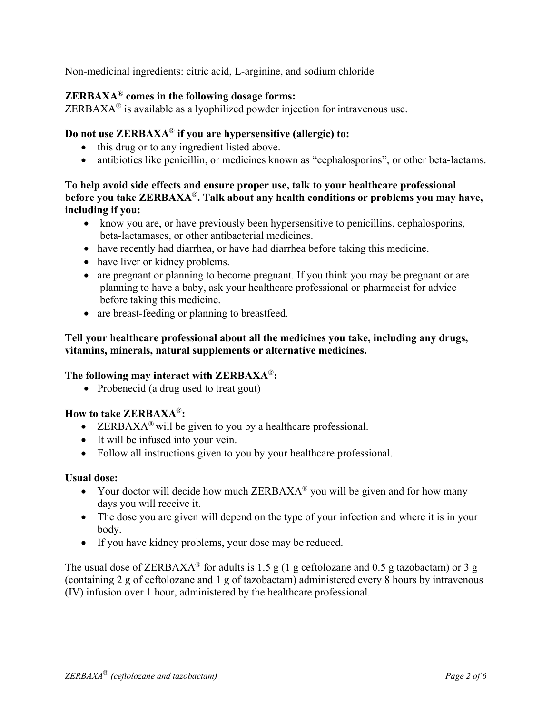Non-medicinal ingredients: citric acid, L-arginine, and sodium chloride

# **ZERBAXA**® **comes in the following dosage forms:**

 $ZERBAXA<sup>®</sup>$  is available as a lyophilized powder injection for intravenous use.

### **Do not use ZERBAXA**® **if you are hypersensitive (allergic) to:**

- this drug or to any ingredient listed above.
- antibiotics like penicillin, or medicines known as "cephalosporins", or other beta-lactams.

### **To help avoid side effects and ensure proper use, talk to your healthcare professional before you take ZERBAXA**®**. Talk about any health conditions or problems you may have, including if you:**

- know you are, or have previously been hypersensitive to penicillins, cephalosporins, beta-lactamases, or other antibacterial medicines.
- have recently had diarrhea, or have had diarrhea before taking this medicine.
- have liver or kidney problems.
- are pregnant or planning to become pregnant. If you think you may be pregnant or are planning to have a baby, ask your healthcare professional or pharmacist for advice before taking this medicine.
- are breast-feeding or planning to breastfeed.

### **Tell your healthcare professional about all the medicines you take, including any drugs, vitamins, minerals, natural supplements or alternative medicines.**

# **The following may interact with ZERBAXA**®**:**

• Probenecid (a drug used to treat gout)

# **How to take ZERBAXA**®**:**

- ERBAXA<sup>®</sup> will be given to you by a healthcare professional.
- It will be infused into your vein.
- Follow all instructions given to you by your healthcare professional.

### **Usual dose:**

- Your doctor will decide how much  $ZERBAXA^{\circledR}$  you will be given and for how many days you will receive it.
- The dose you are given will depend on the type of your infection and where it is in your body.
- If you have kidney problems, your dose may be reduced.

The usual dose of ZERBAXA<sup>®</sup> for adults is 1.5 g (1 g ceftolozane and 0.5 g tazobactam) or 3 g (containing 2 g of ceftolozane and 1 g of tazobactam) administered every 8 hours by intravenous (IV) infusion over 1 hour, administered by the healthcare professional.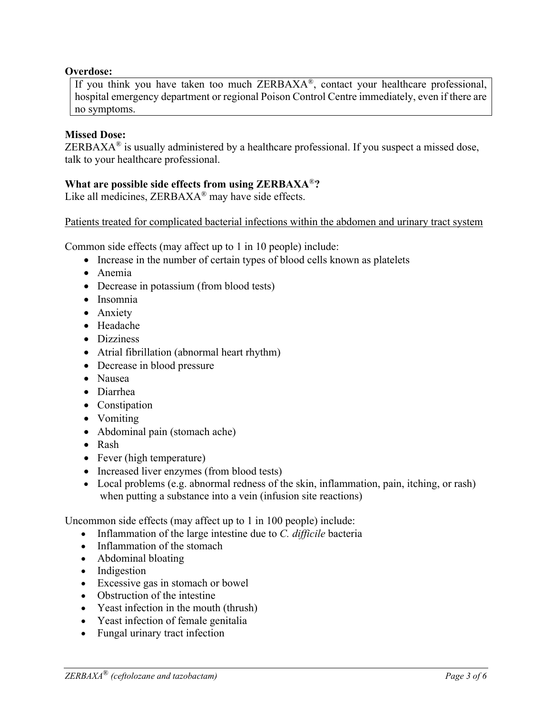#### **Overdose:**

If you think you have taken too much ZERBAXA®, contact your healthcare professional, hospital emergency department or regional Poison Control Centre immediately, even if there are no symptoms.

#### **Missed Dose:**

ZERBAX $A^{\otimes}$  is usually administered by a healthcare professional. If you suspect a missed dose, talk to your healthcare professional.

#### **What are possible side effects from using ZERBAXA**®**?**

Like all medicines, ZERBAXA<sup>®</sup> may have side effects.

Patients treated for complicated bacterial infections within the abdomen and urinary tract system

Common side effects (may affect up to 1 in 10 people) include:

- Increase in the number of certain types of blood cells known as platelets
- Anemia
- Decrease in potassium (from blood tests)
- Insomnia
- Anxiety
- Headache
- Dizziness
- Atrial fibrillation (abnormal heart rhythm)
- Decrease in blood pressure
- Nausea
- Diarrhea
- Constipation
- Vomiting
- Abdominal pain (stomach ache)
- Rash
- Fever (high temperature)
- Increased liver enzymes (from blood tests)
- Local problems (e.g. abnormal redness of the skin, inflammation, pain, itching, or rash) when putting a substance into a vein (infusion site reactions)

Uncommon side effects (may affect up to 1 in 100 people) include:

- Inflammation of the large intestine due to *C. difficile* bacteria
- Inflammation of the stomach
- Abdominal bloating
- Indigestion
- Excessive gas in stomach or bowel
- Obstruction of the intestine
- Yeast infection in the mouth (thrush)
- Yeast infection of female genitalia
- Fungal urinary tract infection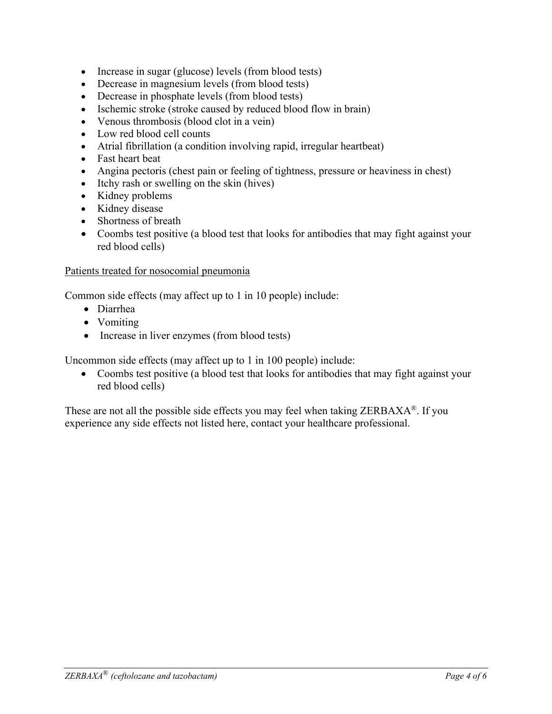- Increase in sugar (glucose) levels (from blood tests)
- Decrease in magnesium levels (from blood tests)
- Decrease in phosphate levels (from blood tests)
- Ischemic stroke (stroke caused by reduced blood flow in brain)
- Venous thrombosis (blood clot in a vein)
- Low red blood cell counts
- Atrial fibrillation (a condition involving rapid, irregular heartbeat)
- Fast heart beat
- Angina pectoris (chest pain or feeling of tightness, pressure or heaviness in chest)
- Itchy rash or swelling on the skin (hives)
- Kidney problems
- Kidney disease
- Shortness of breath
- Coombs test positive (a blood test that looks for antibodies that may fight against your red blood cells)

#### Patients treated for nosocomial pneumonia

Common side effects (may affect up to 1 in 10 people) include:

- Diarrhea
- Vomiting
- Increase in liver enzymes (from blood tests)

Uncommon side effects (may affect up to 1 in 100 people) include:

• Coombs test positive (a blood test that looks for antibodies that may fight against your red blood cells)

These are not all the possible side effects you may feel when taking ZERBAXA®. If you experience any side effects not listed here, contact your healthcare professional.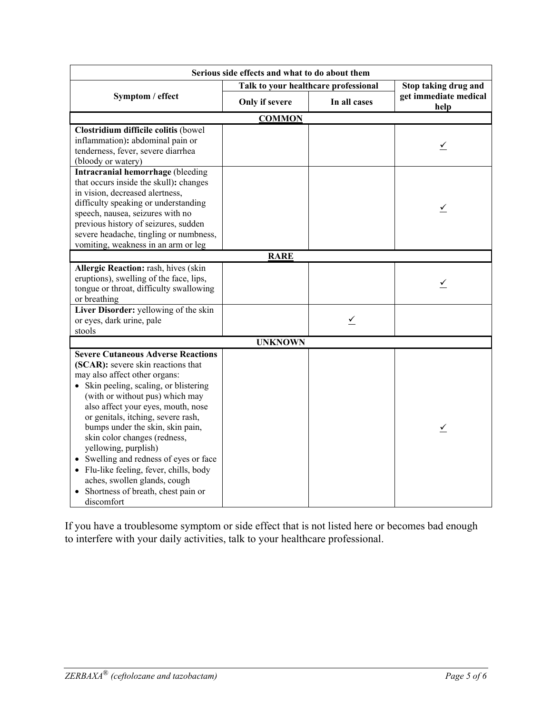| Serious side effects and what to do about them                                                                                                                                                                                                                                                                                                                                                                                                                                                                                                 |                                      |              |                               |
|------------------------------------------------------------------------------------------------------------------------------------------------------------------------------------------------------------------------------------------------------------------------------------------------------------------------------------------------------------------------------------------------------------------------------------------------------------------------------------------------------------------------------------------------|--------------------------------------|--------------|-------------------------------|
| Symptom / effect                                                                                                                                                                                                                                                                                                                                                                                                                                                                                                                               | Talk to your healthcare professional |              | Stop taking drug and          |
|                                                                                                                                                                                                                                                                                                                                                                                                                                                                                                                                                | Only if severe                       | In all cases | get immediate medical<br>help |
| <b>COMMON</b>                                                                                                                                                                                                                                                                                                                                                                                                                                                                                                                                  |                                      |              |                               |
| Clostridium difficile colitis (bowel<br>inflammation): abdominal pain or<br>tenderness, fever, severe diarrhea<br>(bloody or watery)                                                                                                                                                                                                                                                                                                                                                                                                           |                                      |              |                               |
| Intracranial hemorrhage (bleeding<br>that occurs inside the skull): changes<br>in vision, decreased alertness,<br>difficulty speaking or understanding<br>speech, nausea, seizures with no<br>previous history of seizures, sudden<br>severe headache, tingling or numbness,<br>vomiting, weakness in an arm or leg                                                                                                                                                                                                                            |                                      |              | ⊻                             |
| <b>RARE</b>                                                                                                                                                                                                                                                                                                                                                                                                                                                                                                                                    |                                      |              |                               |
| Allergic Reaction: rash, hives (skin<br>eruptions), swelling of the face, lips,<br>tongue or throat, difficulty swallowing<br>or breathing                                                                                                                                                                                                                                                                                                                                                                                                     |                                      |              | $\leq$                        |
| Liver Disorder: yellowing of the skin<br>or eyes, dark urine, pale<br>stools                                                                                                                                                                                                                                                                                                                                                                                                                                                                   |                                      | $\leq$       |                               |
| <b>UNKNOWN</b>                                                                                                                                                                                                                                                                                                                                                                                                                                                                                                                                 |                                      |              |                               |
| <b>Severe Cutaneous Adverse Reactions</b><br>(SCAR): severe skin reactions that<br>may also affect other organs:<br>• Skin peeling, scaling, or blistering<br>(with or without pus) which may<br>also affect your eyes, mouth, nose<br>or genitals, itching, severe rash,<br>bumps under the skin, skin pain,<br>skin color changes (redness,<br>yellowing, purplish)<br>Swelling and redness of eyes or face<br>• Flu-like feeling, fever, chills, body<br>aches, swollen glands, cough<br>• Shortness of breath, chest pain or<br>discomfort |                                      |              | ⊻                             |

If you have a troublesome symptom or side effect that is not listed here or becomes bad enough to interfere with your daily activities, talk to your healthcare professional.